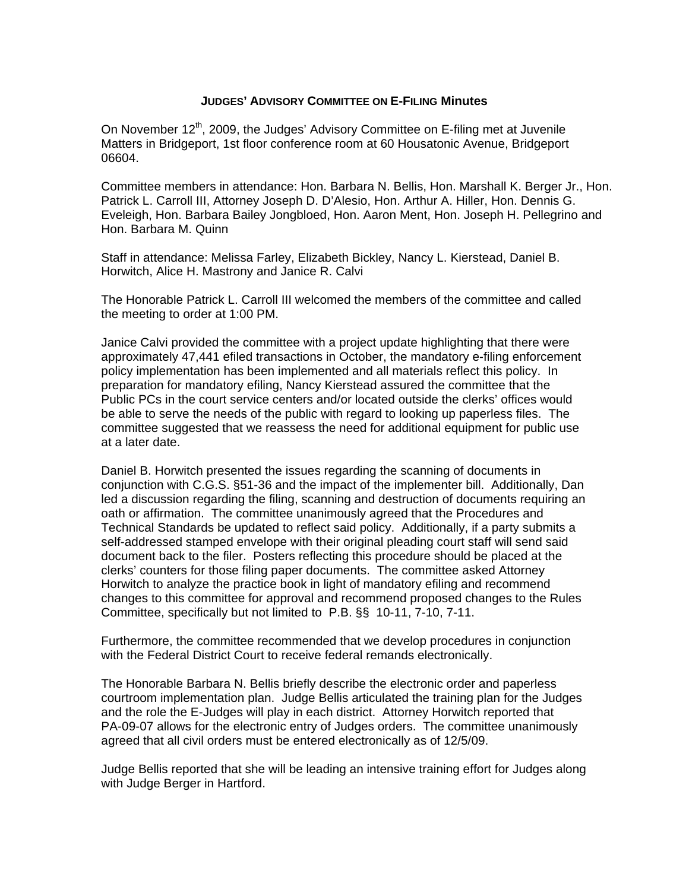## **JUDGES' ADVISORY COMMITTEE ON E-FILING Minutes**

On November 12<sup>th</sup>, 2009, the Judges' Advisory Committee on E-filing met at Juvenile Matters in Bridgeport, 1st floor conference room at 60 Housatonic Avenue, Bridgeport 06604.

Committee members in attendance: Hon. Barbara N. Bellis, Hon. Marshall K. Berger Jr., Hon. Patrick L. Carroll III, Attorney Joseph D. D'Alesio, Hon. Arthur A. Hiller, Hon. Dennis G. Eveleigh, Hon. Barbara Bailey Jongbloed, Hon. Aaron Ment, Hon. Joseph H. Pellegrino and Hon. Barbara M. Quinn

Staff in attendance: Melissa Farley, Elizabeth Bickley, Nancy L. Kierstead, Daniel B. Horwitch, Alice H. Mastrony and Janice R. Calvi

The Honorable Patrick L. Carroll III welcomed the members of the committee and called the meeting to order at 1:00 PM.

Janice Calvi provided the committee with a project update highlighting that there were approximately 47,441 efiled transactions in October, the mandatory e-filing enforcement policy implementation has been implemented and all materials reflect this policy. In preparation for mandatory efiling, Nancy Kierstead assured the committee that the Public PCs in the court service centers and/or located outside the clerks' offices would be able to serve the needs of the public with regard to looking up paperless files. The committee suggested that we reassess the need for additional equipment for public use at a later date.

Daniel B. Horwitch presented the issues regarding the scanning of documents in conjunction with C.G.S. §51-36 and the impact of the implementer bill. Additionally, Dan led a discussion regarding the filing, scanning and destruction of documents requiring an oath or affirmation. The committee unanimously agreed that the Procedures and Technical Standards be updated to reflect said policy. Additionally, if a party submits a self-addressed stamped envelope with their original pleading court staff will send said document back to the filer. Posters reflecting this procedure should be placed at the clerks' counters for those filing paper documents. The committee asked Attorney Horwitch to analyze the practice book in light of mandatory efiling and recommend changes to this committee for approval and recommend proposed changes to the Rules Committee, specifically but not limited to P.B. §§ 10-11, 7-10, 7-11.

Furthermore, the committee recommended that we develop procedures in conjunction with the Federal District Court to receive federal remands electronically.

The Honorable Barbara N. Bellis briefly describe the electronic order and paperless courtroom implementation plan. Judge Bellis articulated the training plan for the Judges and the role the E-Judges will play in each district. Attorney Horwitch reported that PA-09-07 allows for the electronic entry of Judges orders. The committee unanimously agreed that all civil orders must be entered electronically as of 12/5/09.

Judge Bellis reported that she will be leading an intensive training effort for Judges along with Judge Berger in Hartford.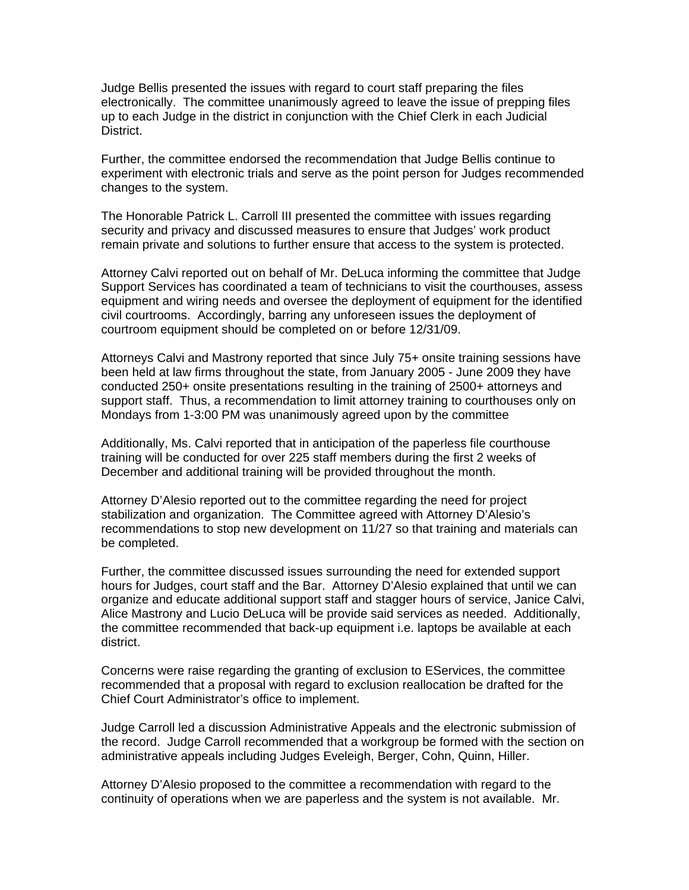Judge Bellis presented the issues with regard to court staff preparing the files electronically. The committee unanimously agreed to leave the issue of prepping files up to each Judge in the district in conjunction with the Chief Clerk in each Judicial District.

Further, the committee endorsed the recommendation that Judge Bellis continue to experiment with electronic trials and serve as the point person for Judges recommended changes to the system.

The Honorable Patrick L. Carroll III presented the committee with issues regarding security and privacy and discussed measures to ensure that Judges' work product remain private and solutions to further ensure that access to the system is protected.

Attorney Calvi reported out on behalf of Mr. DeLuca informing the committee that Judge Support Services has coordinated a team of technicians to visit the courthouses, assess equipment and wiring needs and oversee the deployment of equipment for the identified civil courtrooms. Accordingly, barring any unforeseen issues the deployment of courtroom equipment should be completed on or before 12/31/09.

Attorneys Calvi and Mastrony reported that since July 75+ onsite training sessions have been held at law firms throughout the state, from January 2005 - June 2009 they have conducted 250+ onsite presentations resulting in the training of 2500+ attorneys and support staff. Thus, a recommendation to limit attorney training to courthouses only on Mondays from 1-3:00 PM was unanimously agreed upon by the committee

Additionally, Ms. Calvi reported that in anticipation of the paperless file courthouse training will be conducted for over 225 staff members during the first 2 weeks of December and additional training will be provided throughout the month.

Attorney D'Alesio reported out to the committee regarding the need for project stabilization and organization. The Committee agreed with Attorney D'Alesio's recommendations to stop new development on 11/27 so that training and materials can be completed.

Further, the committee discussed issues surrounding the need for extended support hours for Judges, court staff and the Bar. Attorney D'Alesio explained that until we can organize and educate additional support staff and stagger hours of service, Janice Calvi, Alice Mastrony and Lucio DeLuca will be provide said services as needed. Additionally, the committee recommended that back-up equipment i.e. laptops be available at each district.

Concerns were raise regarding the granting of exclusion to EServices, the committee recommended that a proposal with regard to exclusion reallocation be drafted for the Chief Court Administrator's office to implement.

Judge Carroll led a discussion Administrative Appeals and the electronic submission of the record. Judge Carroll recommended that a workgroup be formed with the section on administrative appeals including Judges Eveleigh, Berger, Cohn, Quinn, Hiller.

Attorney D'Alesio proposed to the committee a recommendation with regard to the continuity of operations when we are paperless and the system is not available. Mr.